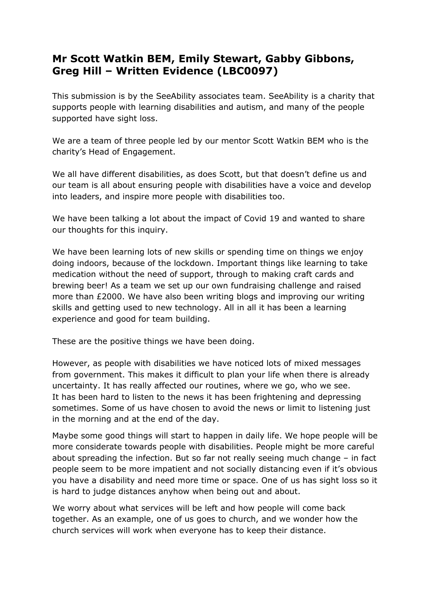## **Mr Scott Watkin BEM, Emily Stewart, Gabby Gibbons, Greg Hill – Written Evidence (LBC0097)**

This submission is by the SeeAbility associates team. SeeAbility is a charity that supports people with learning disabilities and autism, and many of the people supported have sight loss.

We are a team of three people led by our mentor Scott Watkin BEM who is the charity's Head of Engagement.

We all have different disabilities, as does Scott, but that doesn't define us and our team is all about ensuring people with disabilities have a voice and develop into leaders, and inspire more people with disabilities too.

We have been talking a lot about the impact of Covid 19 and wanted to share our thoughts for this inquiry.

We have been learning lots of new skills or spending time on things we enjoy doing indoors, because of the lockdown. Important things like learning to take medication without the need of support, through to making craft cards and brewing beer! As a team we set up our own fundraising challenge and raised more than £2000. We have also been writing blogs and improving our writing skills and getting used to new technology. All in all it has been a learning experience and good for team building.

These are the positive things we have been doing.

However, as people with disabilities we have noticed lots of mixed messages from government. This makes it difficult to plan your life when there is already uncertainty. It has really affected our routines, where we go, who we see. It has been hard to listen to the news it has been frightening and depressing sometimes. Some of us have chosen to avoid the news or limit to listening just in the morning and at the end of the day.

Maybe some good things will start to happen in daily life. We hope people will be more considerate towards people with disabilities. People might be more careful about spreading the infection. But so far not really seeing much change – in fact people seem to be more impatient and not socially distancing even if it's obvious you have a disability and need more time or space. One of us has sight loss so it is hard to judge distances anyhow when being out and about.

We worry about what services will be left and how people will come back together. As an example, one of us goes to church, and we wonder how the church services will work when everyone has to keep their distance.